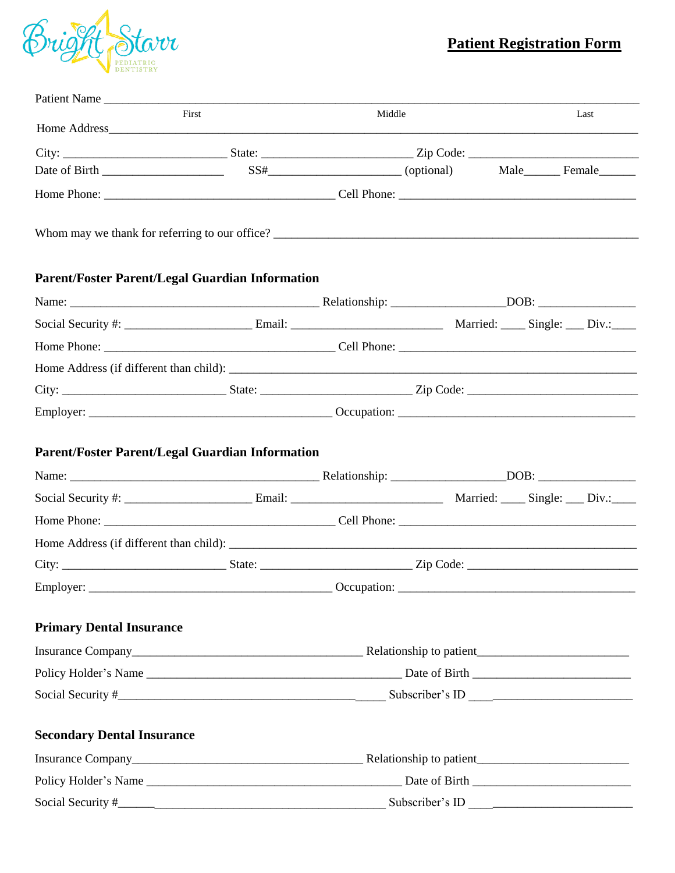

# **Patient Registration Form**

| Patient Name                                           |       |                 |  |  |      |  |  |
|--------------------------------------------------------|-------|-----------------|--|--|------|--|--|
|                                                        | First | Middle          |  |  | Last |  |  |
|                                                        |       |                 |  |  |      |  |  |
|                                                        |       |                 |  |  |      |  |  |
|                                                        |       |                 |  |  |      |  |  |
|                                                        |       |                 |  |  |      |  |  |
| <b>Parent/Foster Parent/Legal Guardian Information</b> |       |                 |  |  |      |  |  |
|                                                        |       |                 |  |  |      |  |  |
|                                                        |       |                 |  |  |      |  |  |
|                                                        |       |                 |  |  |      |  |  |
|                                                        |       |                 |  |  |      |  |  |
|                                                        |       |                 |  |  |      |  |  |
|                                                        |       |                 |  |  |      |  |  |
| Parent/Foster Parent/Legal Guardian Information        |       |                 |  |  |      |  |  |
|                                                        |       |                 |  |  |      |  |  |
|                                                        |       |                 |  |  |      |  |  |
|                                                        |       |                 |  |  |      |  |  |
|                                                        |       |                 |  |  |      |  |  |
| Employer:                                              |       |                 |  |  |      |  |  |
| <b>Primary Dental Insurance</b>                        |       |                 |  |  |      |  |  |
|                                                        |       |                 |  |  |      |  |  |
|                                                        |       |                 |  |  |      |  |  |
|                                                        |       |                 |  |  |      |  |  |
| <b>Secondary Dental Insurance</b>                      |       |                 |  |  |      |  |  |
|                                                        |       |                 |  |  |      |  |  |
|                                                        |       |                 |  |  |      |  |  |
| Social Security #                                      |       | Subscriber's ID |  |  |      |  |  |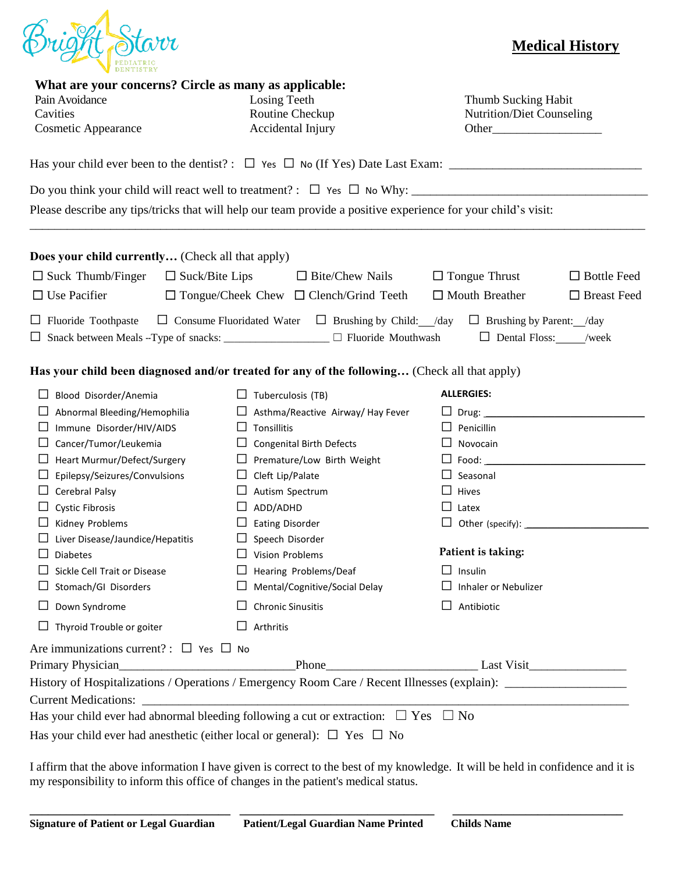

## **Medical History**

| What are your concerns? Circle as many as applicable:<br>Pain Avoidance<br>Cavities<br><b>Cosmetic Appearance</b> |                         | Losing Teeth<br>Routine Checkup<br>Accidental Injury                               | Thumb Sucking Habit<br><b>Nutrition/Diet Counseling</b>                                                                          |                    |  |  |
|-------------------------------------------------------------------------------------------------------------------|-------------------------|------------------------------------------------------------------------------------|----------------------------------------------------------------------------------------------------------------------------------|--------------------|--|--|
|                                                                                                                   |                         |                                                                                    |                                                                                                                                  |                    |  |  |
|                                                                                                                   |                         |                                                                                    |                                                                                                                                  |                    |  |  |
|                                                                                                                   |                         |                                                                                    | Please describe any tips/tricks that will help our team provide a positive experience for your child's visit:                    |                    |  |  |
| Does your child currently (Check all that apply)                                                                  |                         |                                                                                    |                                                                                                                                  |                    |  |  |
| $\Box$ Suck Thumb/Finger<br>$\Box$ Suck/Bite Lips<br>$\Box$ Bite/Chew Nails                                       |                         | $\Box$ Tongue Thrust<br>$\Box$ Bottle Feed                                         |                                                                                                                                  |                    |  |  |
| $\Box$ Use Pacifier                                                                                               |                         | $\Box$ Tongue/Cheek Chew $\Box$ Clench/Grind Teeth                                 | $\Box$ Mouth Breather                                                                                                            | $\Box$ Breast Feed |  |  |
| $\Box$ Fluoride Toothpaste                                                                                        |                         | □ Snack between Meals --Type of snacks: _____________________ □ Fluoride Mouthwash | $\Box$ Consume Fluoridated Water $\Box$ Brushing by Child: /day $\Box$ Brushing by Parent: /day<br>$\Box$ Dental Floss: /week    |                    |  |  |
| Has your child been diagnosed and/or treated for any of the following (Check all that apply)                      |                         |                                                                                    |                                                                                                                                  |                    |  |  |
| Blood Disorder/Anemia                                                                                             |                         | $\Box$ Tuberculosis (TB)                                                           | <b>ALLERGIES:</b>                                                                                                                |                    |  |  |
| Abnormal Bleeding/Hemophilia                                                                                      |                         | $\Box$ Asthma/Reactive Airway/ Hay Fever                                           |                                                                                                                                  |                    |  |  |
| Immune Disorder/HIV/AIDS                                                                                          | $\Box$ Tonsillitis      |                                                                                    | $\Box$ Penicillin                                                                                                                |                    |  |  |
| Cancer/Tumor/Leukemia                                                                                             |                         | $\Box$ Congenital Birth Defects                                                    | $\Box$ Novocain                                                                                                                  |                    |  |  |
| Heart Murmur/Defect/Surgery                                                                                       |                         | $\Box$ Premature/Low Birth Weight                                                  |                                                                                                                                  |                    |  |  |
| Epilepsy/Seizures/Convulsions                                                                                     | $\Box$ Cleft Lip/Palate |                                                                                    | $\Box$ Seasonal                                                                                                                  |                    |  |  |
| Cerebral Palsy                                                                                                    |                         | $\Box$ Autism Spectrum                                                             | $\Box$ Hives                                                                                                                     |                    |  |  |
| <b>Cystic Fibrosis</b>                                                                                            | $\Box$ ADD/ADHD         |                                                                                    | $\Box$ Latex                                                                                                                     |                    |  |  |
| Kidney Problems                                                                                                   | $\Box$ Eating Disorder  |                                                                                    |                                                                                                                                  |                    |  |  |
| Liver Disease/Jaundice/Hepatitis                                                                                  | $\Box$ Speech Disorder  |                                                                                    |                                                                                                                                  |                    |  |  |
| <b>Diabetes</b>                                                                                                   | $\Box$ Vision Problems  |                                                                                    | Patient is taking:                                                                                                               |                    |  |  |
| Sickle Cell Trait or Disease                                                                                      | ப                       | Hearing Problems/Deaf                                                              | $\Box$ Insulin                                                                                                                   |                    |  |  |
| □ Stomach/GI Disorders                                                                                            |                         | $\Box$ Mental/Cognitive/Social Delay                                               | $\Box$ Inhaler or Nebulizer                                                                                                      |                    |  |  |
| Down Syndrome<br><b>Chronic Sinusitis</b>                                                                         |                         |                                                                                    | $\Box$ Antibiotic                                                                                                                |                    |  |  |
| $\Box$ Thyroid Trouble or goiter                                                                                  | $\Box$ Arthritis        |                                                                                    |                                                                                                                                  |                    |  |  |
| Are immunizations current? : $\Box$ Yes $\Box$ No                                                                 |                         |                                                                                    |                                                                                                                                  |                    |  |  |
|                                                                                                                   |                         |                                                                                    |                                                                                                                                  |                    |  |  |
|                                                                                                                   |                         |                                                                                    | History of Hospitalizations / Operations / Emergency Room Care / Recent Illnesses (explain): _________________                   |                    |  |  |
|                                                                                                                   |                         |                                                                                    |                                                                                                                                  |                    |  |  |
| Has your child ever had abnormal bleeding following a cut or extraction: $\Box$ Yes $\Box$ No                     |                         |                                                                                    |                                                                                                                                  |                    |  |  |
| Has your child ever had an esthetic (either local or general): $\Box$ Yes $\Box$ No                               |                         |                                                                                    |                                                                                                                                  |                    |  |  |
|                                                                                                                   |                         |                                                                                    | I affirm that the above information I have given is correct to the best of my knowledge. It will be held in confidence and it is |                    |  |  |

my responsibility to inform this office of changes in the patient's medical status.

**\_\_\_\_\_\_\_\_\_\_\_\_\_\_\_\_\_\_\_\_\_\_\_\_\_\_\_\_\_\_\_\_\_ \_\_\_\_\_\_\_\_\_\_\_\_\_\_\_\_\_\_\_\_\_\_\_\_\_\_\_\_\_\_\_\_ \_\_\_\_\_\_\_\_\_\_\_\_\_\_\_\_\_\_\_\_\_\_\_\_\_\_\_\_**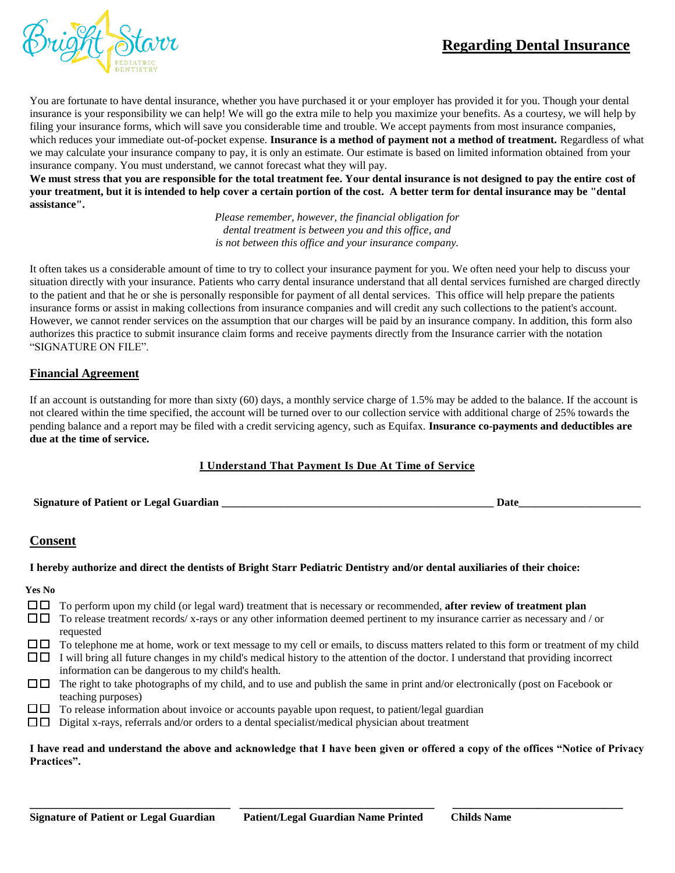## **Regarding Dental Insurance**



You are fortunate to have dental insurance, whether you have purchased it or your employer has provided it for you. Though your dental insurance is your responsibility we can help! We will go the extra mile to help you maximize your benefits. As a courtesy, we will help by filing your insurance forms, which will save you considerable time and trouble. We accept payments from most insurance companies, which reduces your immediate out-of-pocket expense. **Insurance is a method of payment not a method of treatment.** Regardless of what we may calculate your insurance company to pay, it is only an estimate. Our estimate is based on limited information obtained from your insurance company. You must understand, we cannot forecast what they will pay.

**We must stress that you are responsible for the total treatment fee. Your dental insurance is not designed to pay the entire cost of your treatment, but it is intended to help cover a certain portion of the cost. A better term for dental insurance may be "dental assistance".**

> *Please remember, however, the financial obligation for dental treatment is between you and this office, and is not between this office and your insurance company.*

It often takes us a considerable amount of time to try to collect your insurance payment for you. We often need your help to discuss your situation directly with your insurance. Patients who carry dental insurance understand that all dental services furnished are charged directly to the patient and that he or she is personally responsible for payment of all dental services. This office will help prepare the patients insurance forms or assist in making collections from insurance companies and will credit any such collections to the patient's account. However, we cannot render services on the assumption that our charges will be paid by an insurance company. In addition, this form also authorizes this practice to submit insurance claim forms and receive payments directly from the Insurance carrier with the notation "SIGNATURE ON FILE".

#### **Financial Agreement**

If an account is outstanding for more than sixty (60) days, a monthly service charge of 1.5% may be added to the balance. If the account is not cleared within the time specified, the account will be turned over to our collection service with additional charge of 25% towards the pending balance and a report may be filed with a credit servicing agency, such as Equifax. **Insurance co-payments and deductibles are due at the time of service.**

#### **I Understand That Payment Is Due At Time of Service**

**Signature of Patient or Legal Guardian \_\_\_\_\_\_\_\_\_\_\_\_\_\_\_\_\_\_\_\_\_\_\_\_\_\_\_\_\_\_\_\_\_\_\_\_\_\_\_\_\_\_\_\_\_\_\_\_\_ Date\_\_\_\_\_\_\_\_\_\_\_\_\_\_\_\_\_\_\_\_\_\_**

## **Consent**

#### **I hereby authorize and direct the dentists of Bright Starr Pediatric Dentistry and/or dental auxiliaries of their choice:**

#### **Yes No**

- To perform upon my child (or legal ward) treatment that is necessary or recommended, **after review of treatment plan**
- $\square \square$  To release treatment records/ x-rays or any other information deemed pertinent to my insurance carrier as necessary and / or requested
- $\square \square$  To telephone me at home, work or text message to my cell or emails, to discuss matters related to this form or treatment of my child  $\Box$  I will bring all future changes in my child's medical history to the attention of the doctor. I understand that providing incorrect
- information can be dangerous to my child's health.
- $\square \square$  The right to take photographs of my child, and to use and publish the same in print and/or electronically (post on Facebook or teaching purposes)
- $\square \square$  To release information about invoice or accounts payable upon request, to patient/legal guardian
- $\square \square$  Digital x-rays, referrals and/or orders to a dental specialist/medical physician about treatment

#### **I have read and understand the above and acknowledge that I have been given or offered a copy of the offices "Notice of Privacy Practices".**

**\_\_\_\_\_\_\_\_\_\_\_\_\_\_\_\_\_\_\_\_\_\_\_\_\_\_\_\_\_\_\_\_\_ \_\_\_\_\_\_\_\_\_\_\_\_\_\_\_\_\_\_\_\_\_\_\_\_\_\_\_\_\_\_\_\_ \_\_\_\_\_\_\_\_\_\_\_\_\_\_\_\_\_\_\_\_\_\_\_\_\_\_\_\_**